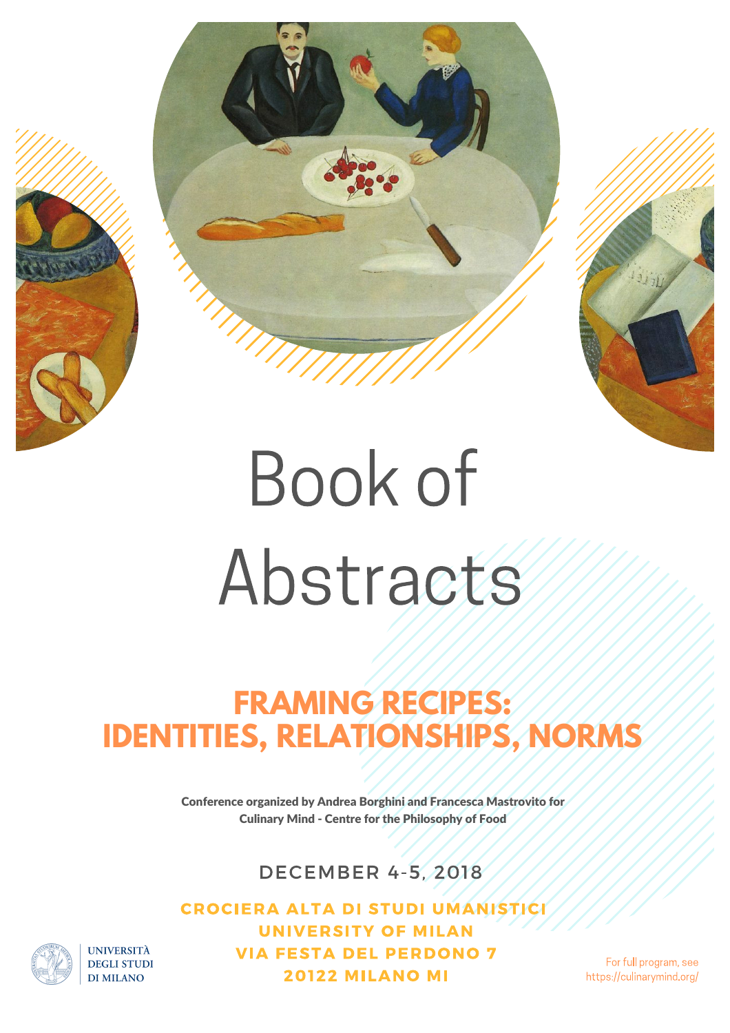



# **Book of** Abstracts

# **FRAMING RECIPES: IDENTITIES, RELATIONSHIPS, NORMS**

Conference organized by Andrea Borghini and Francesca Mastrovito for Culinary Mind - Centre for the Philosophy of Food

**DECEMBER 4-5, 2018** 

**CROCIERA ALTA DI STUDI UMANISTICI UNIVERSITY OF MILAN VIA FESTA DEL PERDONO 7 20122 MILANO MI** 

For full program, see https://culinarymind.org/

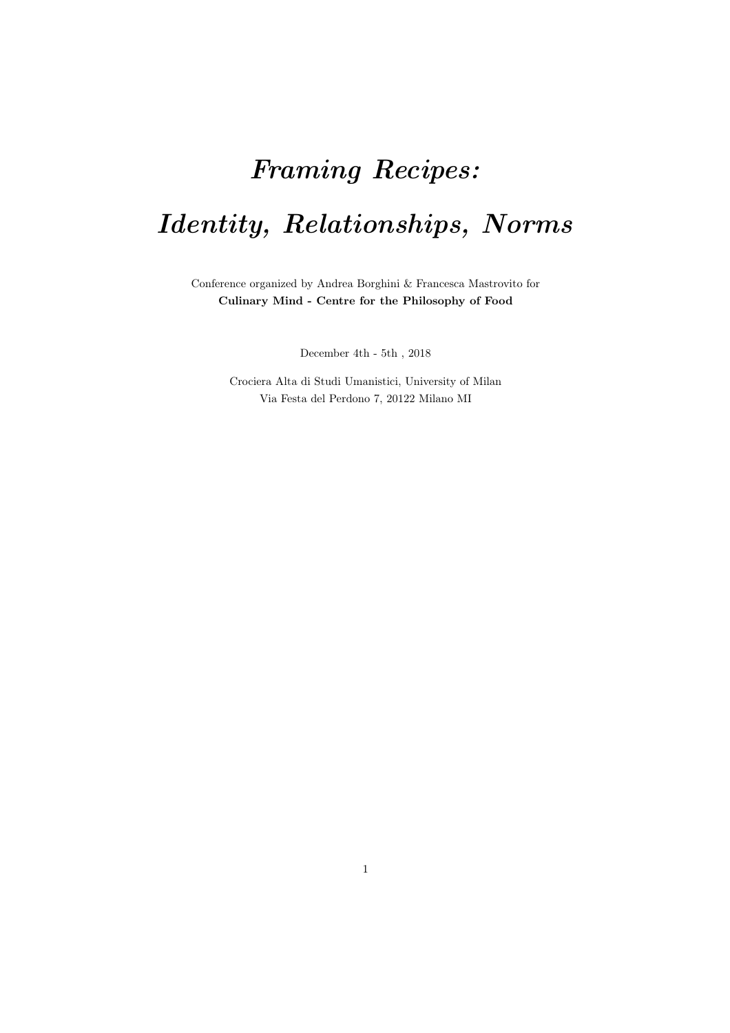# *Framing Recipes: Identity, Relationships, Norms*

Conference organized by Andrea Borghini & Francesca Mastrovito for Culinary Mind - Centre for the Philosophy of Food

December 4th - 5th , 2018

Crociera Alta di Studi Umanistici, University of Milan Via Festa del Perdono 7, 20122 Milano MI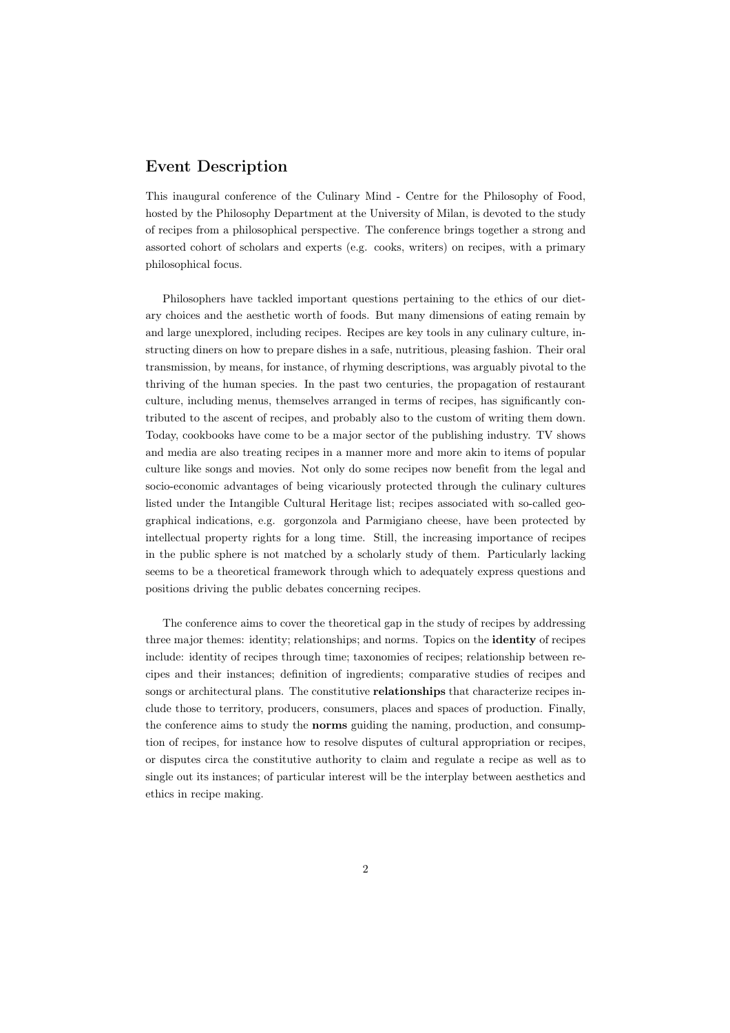# Event Description

This inaugural conference of the Culinary Mind - Centre for the Philosophy of Food, hosted by the Philosophy Department at the University of Milan, is devoted to the study of recipes from a philosophical perspective. The conference brings together a strong and assorted cohort of scholars and experts (e.g. cooks, writers) on recipes, with a primary philosophical focus.

Philosophers have tackled important questions pertaining to the ethics of our dietary choices and the aesthetic worth of foods. But many dimensions of eating remain by and large unexplored, including recipes. Recipes are key tools in any culinary culture, instructing diners on how to prepare dishes in a safe, nutritious, pleasing fashion. Their oral transmission, by means, for instance, of rhyming descriptions, was arguably pivotal to the thriving of the human species. In the past two centuries, the propagation of restaurant culture, including menus, themselves arranged in terms of recipes, has significantly contributed to the ascent of recipes, and probably also to the custom of writing them down. Today, cookbooks have come to be a major sector of the publishing industry. TV shows and media are also treating recipes in a manner more and more akin to items of popular culture like songs and movies. Not only do some recipes now benefit from the legal and socio-economic advantages of being vicariously protected through the culinary cultures listed under the Intangible Cultural Heritage list; recipes associated with so-called geographical indications, e.g. gorgonzola and Parmigiano cheese, have been protected by intellectual property rights for a long time. Still, the increasing importance of recipes in the public sphere is not matched by a scholarly study of them. Particularly lacking seems to be a theoretical framework through which to adequately express questions and positions driving the public debates concerning recipes.

The conference aims to cover the theoretical gap in the study of recipes by addressing three major themes: identity; relationships; and norms. Topics on the identity of recipes include: identity of recipes through time; taxonomies of recipes; relationship between recipes and their instances; definition of ingredients; comparative studies of recipes and songs or architectural plans. The constitutive relationships that characterize recipes include those to territory, producers, consumers, places and spaces of production. Finally, the conference aims to study the norms guiding the naming, production, and consumption of recipes, for instance how to resolve disputes of cultural appropriation or recipes, or disputes circa the constitutive authority to claim and regulate a recipe as well as to single out its instances; of particular interest will be the interplay between aesthetics and ethics in recipe making.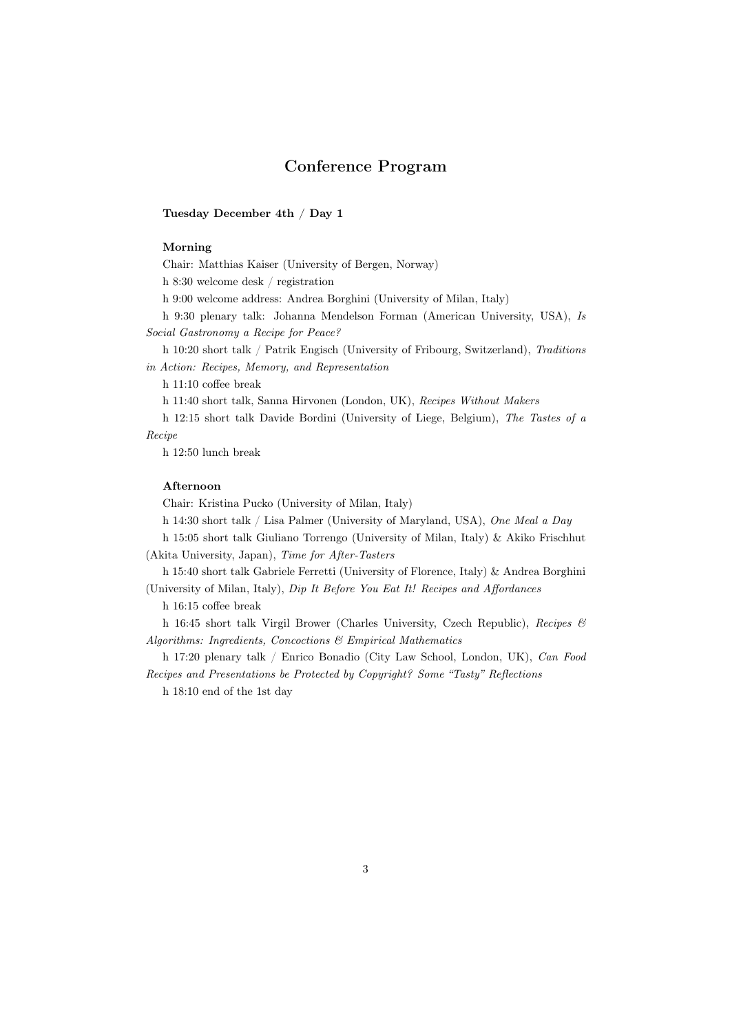# Conference Program

#### Tuesday December 4th / Day 1

#### Morning

Chair: Matthias Kaiser (University of Bergen, Norway)

h 8:30 welcome desk / registration

h 9:00 welcome address: Andrea Borghini (University of Milan, Italy)

h 9:30 plenary talk: Johanna Mendelson Forman (American University, USA), *Is Social Gastronomy a Recipe for Peace?*

h 10:20 short talk / Patrik Engisch (University of Fribourg, Switzerland), *Traditions in Action: Recipes, Memory, and Representation*

h 11:10 coffee break

h 11:40 short talk, Sanna Hirvonen (London, UK), *Recipes Without Makers*

h 12:15 short talk Davide Bordini (University of Liege, Belgium), *The Tastes of a Recipe*

h 12:50 lunch break

#### Afternoon

Chair: Kristina Pucko (University of Milan, Italy)

h 14:30 short talk / Lisa Palmer (University of Maryland, USA), *One Meal a Day*

h 15:05 short talk Giuliano Torrengo (University of Milan, Italy) & Akiko Frischhut (Akita University, Japan), *Time for After-Tasters*

h 15:40 short talk Gabriele Ferretti (University of Florence, Italy) & Andrea Borghini (University of Milan, Italy), *Dip It Before You Eat It! Recipes and A*ff*ordances*

h 16:15 coffee break

h 16:45 short talk Virgil Brower (Charles University, Czech Republic), *Recipes & Algorithms: Ingredients, Concoctions & Empirical Mathematics*

h 17:20 plenary talk / Enrico Bonadio (City Law School, London, UK), *Can Food Recipes and Presentations be Protected by Copyright? Some "Tasty" Reflections*

h 18:10 end of the 1st day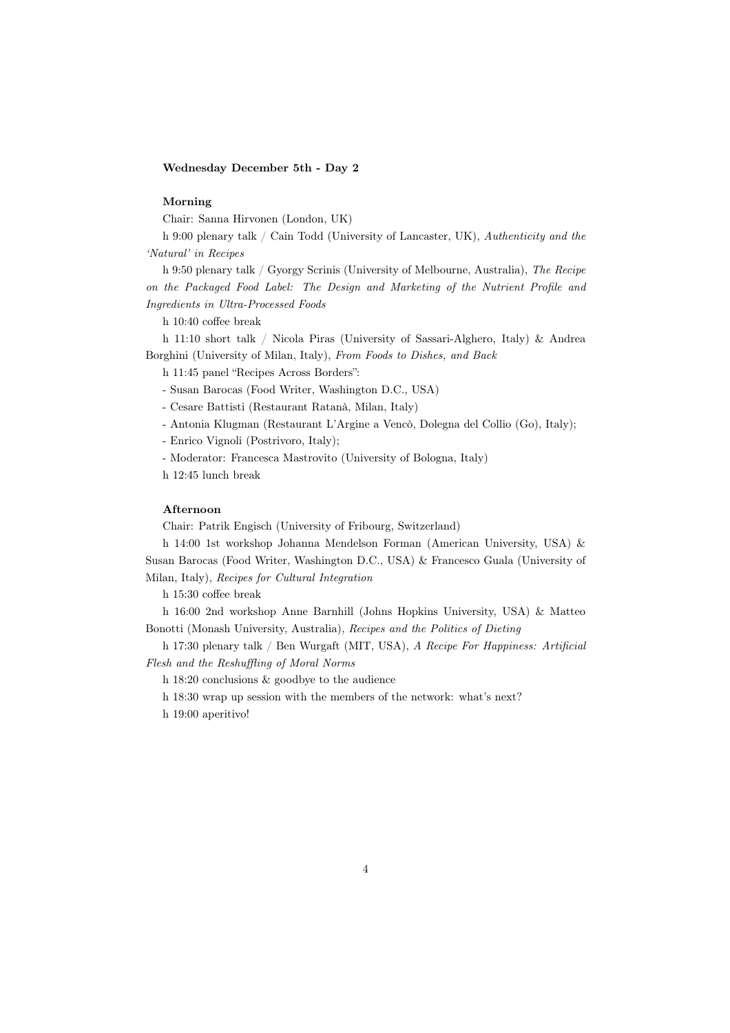### Wednesday December 5th - Day 2

#### Morning

Chair: Sanna Hirvonen (London, UK)

h 9:00 plenary talk / Cain Todd (University of Lancaster, UK), *Authenticity and the 'Natural' in Recipes*

h 9:50 plenary talk / Gyorgy Scrinis (University of Melbourne, Australia), *The Recipe on the Packaged Food Label: The Design and Marketing of the Nutrient Profile and Ingredients in Ultra-Processed Foods*

h 10:40 coffee break

h 11:10 short talk / Nicola Piras (University of Sassari-Alghero, Italy) & Andrea Borghini (University of Milan, Italy), *From Foods to Dishes, and Back*

h 11:45 panel "Recipes Across Borders":

- Susan Barocas (Food Writer, Washington D.C., USA)
- Cesare Battisti (Restaurant Ratanà, Milan, Italy)
- Antonia Klugman (Restaurant L'Argine a Vencò, Dolegna del Collio (Go), Italy);

- Enrico Vignoli (Postrivoro, Italy);

- Moderator: Francesca Mastrovito (University of Bologna, Italy)

h 12:45 lunch break

#### Afternoon

Chair: Patrik Engisch (University of Fribourg, Switzerland)

h 14:00 1st workshop Johanna Mendelson Forman (American University, USA) & Susan Barocas (Food Writer, Washington D.C., USA) & Francesco Guala (University of Milan, Italy), *Recipes for Cultural Integration*

h 15:30 coffee break

h 16:00 2nd workshop Anne Barnhill (Johns Hopkins University, USA) & Matteo Bonotti (Monash University, Australia), *Recipes and the Politics of Dieting*

h 17:30 plenary talk / Ben Wurgaft (MIT, USA), *A Recipe For Happiness: Artificial Flesh and the Reshu*ffl*ing of Moral Norms*

h 18:20 conclusions & goodbye to the audience

h 18:30 wrap up session with the members of the network: what's next?

h 19:00 aperitivo!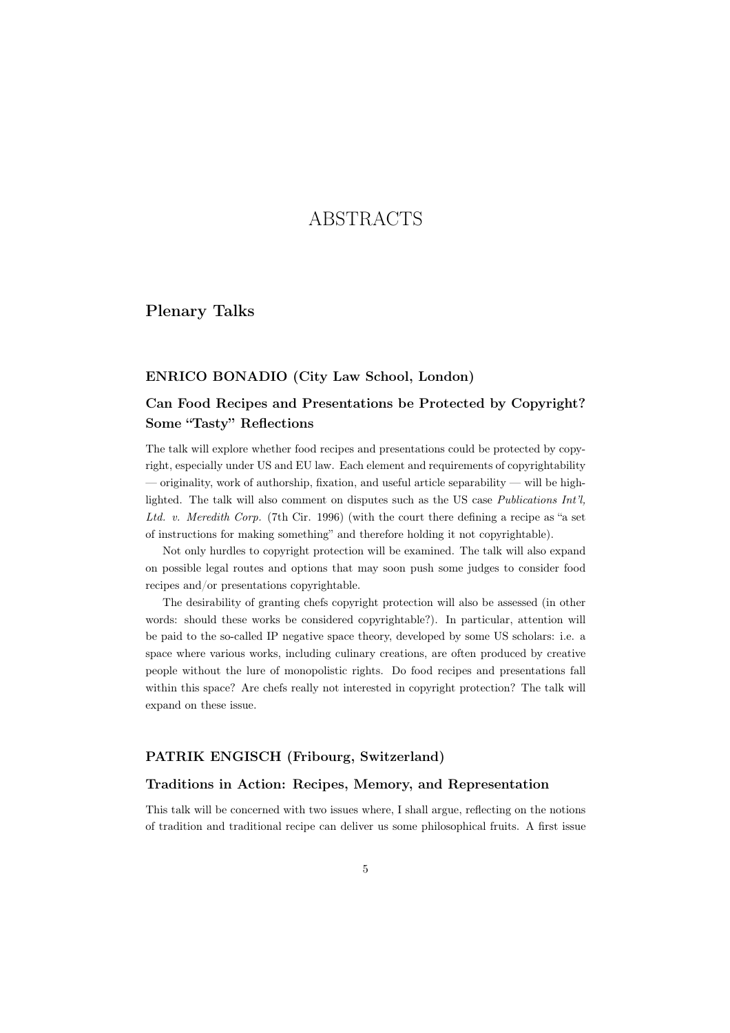# ABSTRACTS

Plenary Talks

### ENRICO BONADIO (City Law School, London)

# Can Food Recipes and Presentations be Protected by Copyright? Some "Tasty" Reflections

The talk will explore whether food recipes and presentations could be protected by copyright, especially under US and EU law. Each element and requirements of copyrightability — originality, work of authorship, fixation, and useful article separability — will be highlighted. The talk will also comment on disputes such as the US case *Publications Int'l, Ltd. v. Meredith Corp.* (7th Cir. 1996) (with the court there defining a recipe as "a set of instructions for making something" and therefore holding it not copyrightable).

Not only hurdles to copyright protection will be examined. The talk will also expand on possible legal routes and options that may soon push some judges to consider food recipes and/or presentations copyrightable.

The desirability of granting chefs copyright protection will also be assessed (in other words: should these works be considered copyrightable?). In particular, attention will be paid to the so-called IP negative space theory, developed by some US scholars: i.e. a space where various works, including culinary creations, are often produced by creative people without the lure of monopolistic rights. Do food recipes and presentations fall within this space? Are chefs really not interested in copyright protection? The talk will expand on these issue.

# PATRIK ENGISCH (Fribourg, Switzerland)

# Traditions in Action: Recipes, Memory, and Representation

This talk will be concerned with two issues where, I shall argue, reflecting on the notions of tradition and traditional recipe can deliver us some philosophical fruits. A first issue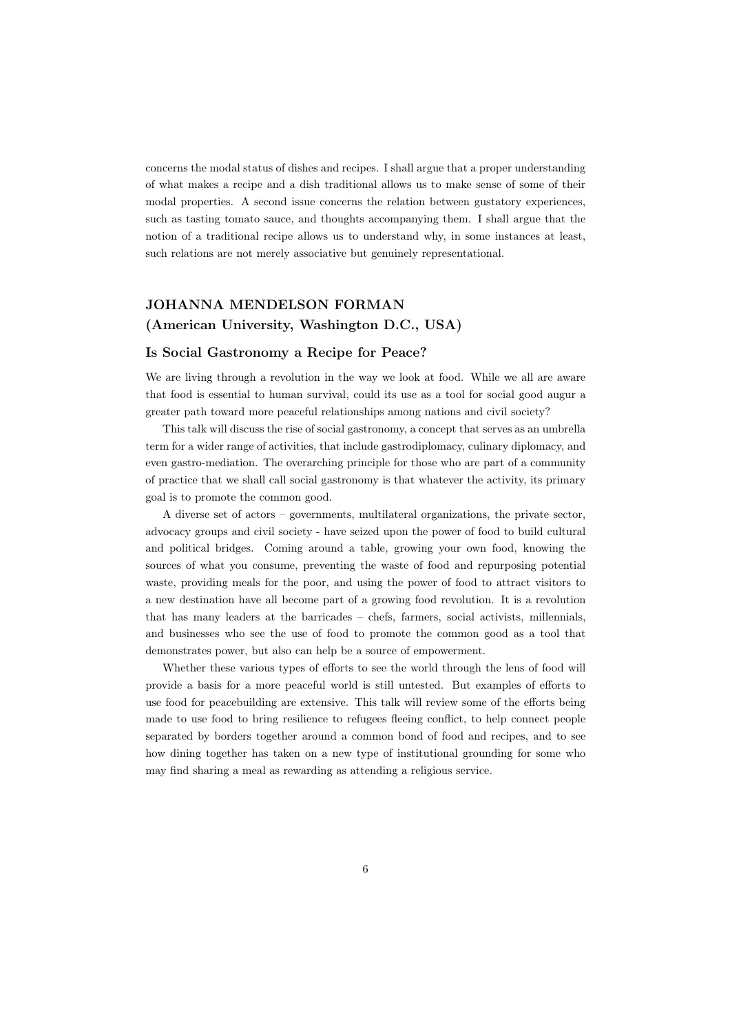concerns the modal status of dishes and recipes. I shall argue that a proper understanding of what makes a recipe and a dish traditional allows us to make sense of some of their modal properties. A second issue concerns the relation between gustatory experiences, such as tasting tomato sauce, and thoughts accompanying them. I shall argue that the notion of a traditional recipe allows us to understand why, in some instances at least, such relations are not merely associative but genuinely representational.

# JOHANNA MENDELSON FORMAN (American University, Washington D.C., USA)

#### Is Social Gastronomy a Recipe for Peace?

We are living through a revolution in the way we look at food. While we all are aware that food is essential to human survival, could its use as a tool for social good augur a greater path toward more peaceful relationships among nations and civil society?

This talk will discuss the rise of social gastronomy, a concept that serves as an umbrella term for a wider range of activities, that include gastrodiplomacy, culinary diplomacy, and even gastro-mediation. The overarching principle for those who are part of a community of practice that we shall call social gastronomy is that whatever the activity, its primary goal is to promote the common good.

A diverse set of actors – governments, multilateral organizations, the private sector, advocacy groups and civil society - have seized upon the power of food to build cultural and political bridges. Coming around a table, growing your own food, knowing the sources of what you consume, preventing the waste of food and repurposing potential waste, providing meals for the poor, and using the power of food to attract visitors to a new destination have all become part of a growing food revolution. It is a revolution that has many leaders at the barricades – chefs, farmers, social activists, millennials, and businesses who see the use of food to promote the common good as a tool that demonstrates power, but also can help be a source of empowerment.

Whether these various types of efforts to see the world through the lens of food will provide a basis for a more peaceful world is still untested. But examples of efforts to use food for peacebuilding are extensive. This talk will review some of the efforts being made to use food to bring resilience to refugees fleeing conflict, to help connect people separated by borders together around a common bond of food and recipes, and to see how dining together has taken on a new type of institutional grounding for some who may find sharing a meal as rewarding as attending a religious service.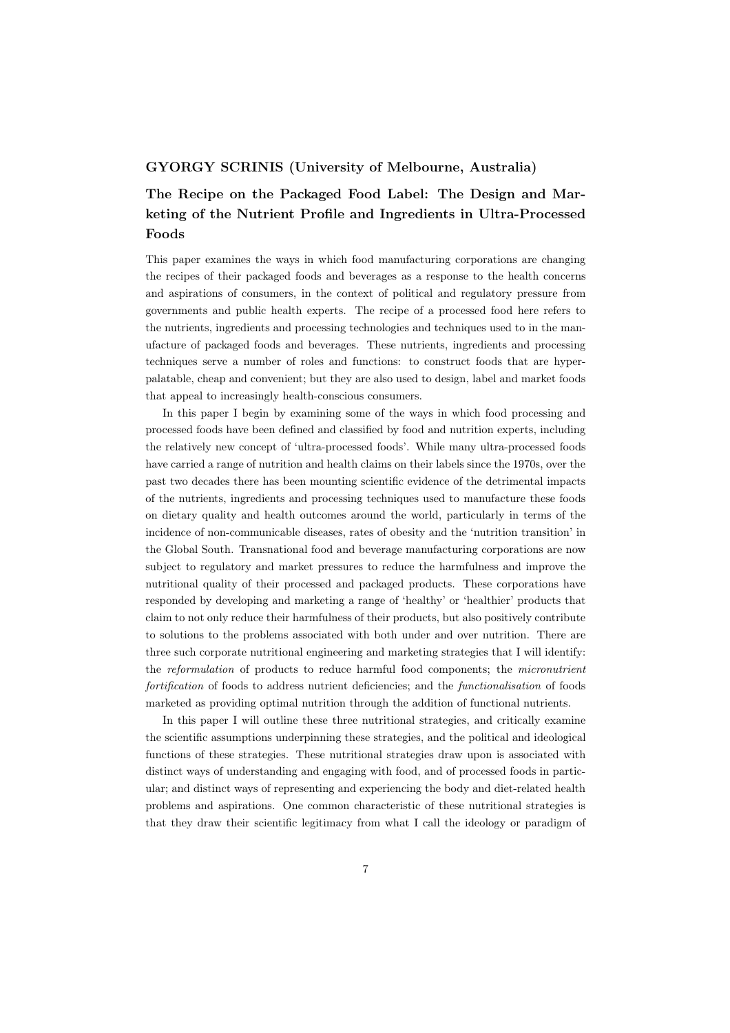# GYORGY SCRINIS (University of Melbourne, Australia)

# The Recipe on the Packaged Food Label: The Design and Marketing of the Nutrient Profile and Ingredients in Ultra-Processed Foods

This paper examines the ways in which food manufacturing corporations are changing the recipes of their packaged foods and beverages as a response to the health concerns and aspirations of consumers, in the context of political and regulatory pressure from governments and public health experts. The recipe of a processed food here refers to the nutrients, ingredients and processing technologies and techniques used to in the manufacture of packaged foods and beverages. These nutrients, ingredients and processing techniques serve a number of roles and functions: to construct foods that are hyperpalatable, cheap and convenient; but they are also used to design, label and market foods that appeal to increasingly health-conscious consumers.

In this paper I begin by examining some of the ways in which food processing and processed foods have been defined and classified by food and nutrition experts, including the relatively new concept of 'ultra-processed foods'. While many ultra-processed foods have carried a range of nutrition and health claims on their labels since the 1970s, over the past two decades there has been mounting scientific evidence of the detrimental impacts of the nutrients, ingredients and processing techniques used to manufacture these foods on dietary quality and health outcomes around the world, particularly in terms of the incidence of non-communicable diseases, rates of obesity and the 'nutrition transition' in the Global South. Transnational food and beverage manufacturing corporations are now subject to regulatory and market pressures to reduce the harmfulness and improve the nutritional quality of their processed and packaged products. These corporations have responded by developing and marketing a range of 'healthy' or 'healthier' products that claim to not only reduce their harmfulness of their products, but also positively contribute to solutions to the problems associated with both under and over nutrition. There are three such corporate nutritional engineering and marketing strategies that I will identify: the *reformulation* of products to reduce harmful food components; the *micronutrient fortification* of foods to address nutrient deficiencies; and the *functionalisation* of foods marketed as providing optimal nutrition through the addition of functional nutrients.

In this paper I will outline these three nutritional strategies, and critically examine the scientific assumptions underpinning these strategies, and the political and ideological functions of these strategies. These nutritional strategies draw upon is associated with distinct ways of understanding and engaging with food, and of processed foods in particular; and distinct ways of representing and experiencing the body and diet-related health problems and aspirations. One common characteristic of these nutritional strategies is that they draw their scientific legitimacy from what I call the ideology or paradigm of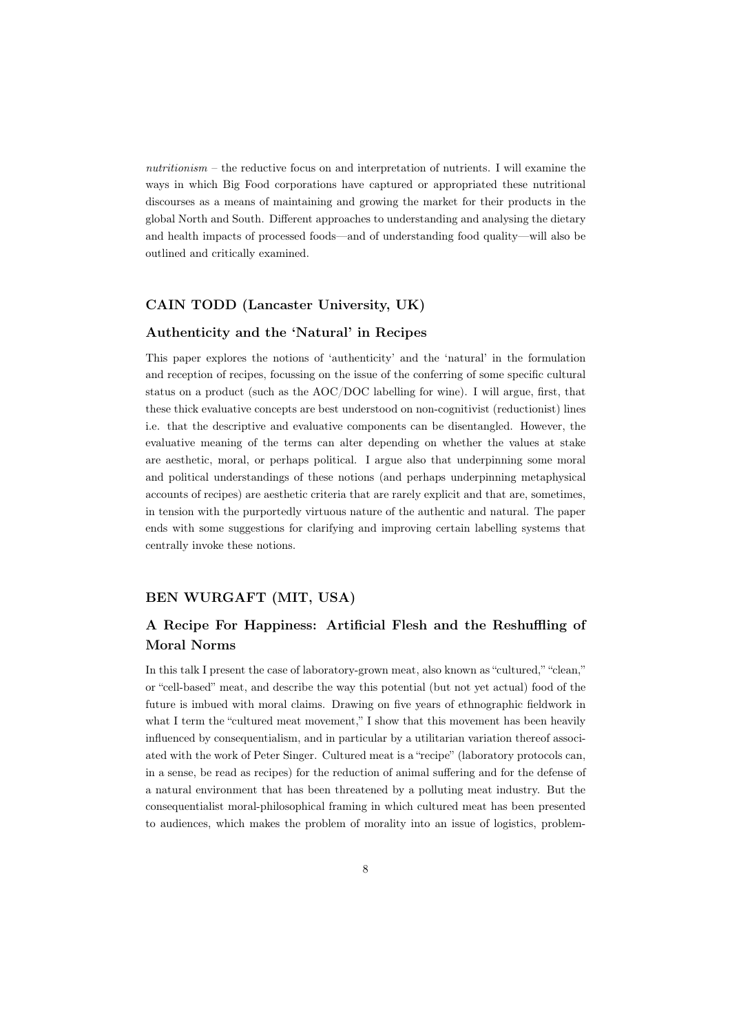*nutritionism* – the reductive focus on and interpretation of nutrients. I will examine the ways in which Big Food corporations have captured or appropriated these nutritional discourses as a means of maintaining and growing the market for their products in the global North and South. Different approaches to understanding and analysing the dietary and health impacts of processed foods—and of understanding food quality—will also be outlined and critically examined.

# CAIN TODD (Lancaster University, UK)

# Authenticity and the 'Natural' in Recipes

This paper explores the notions of 'authenticity' and the 'natural' in the formulation and reception of recipes, focussing on the issue of the conferring of some specific cultural status on a product (such as the AOC/DOC labelling for wine). I will argue, first, that these thick evaluative concepts are best understood on non-cognitivist (reductionist) lines i.e. that the descriptive and evaluative components can be disentangled. However, the evaluative meaning of the terms can alter depending on whether the values at stake are aesthetic, moral, or perhaps political. I argue also that underpinning some moral and political understandings of these notions (and perhaps underpinning metaphysical accounts of recipes) are aesthetic criteria that are rarely explicit and that are, sometimes, in tension with the purportedly virtuous nature of the authentic and natural. The paper ends with some suggestions for clarifying and improving certain labelling systems that centrally invoke these notions.

# BEN WURGAFT (MIT, USA)

# A Recipe For Happiness: Artificial Flesh and the Reshuffling of Moral Norms

In this talk I present the case of laboratory-grown meat, also known as "cultured," "clean," or "cell-based" meat, and describe the way this potential (but not yet actual) food of the future is imbued with moral claims. Drawing on five years of ethnographic fieldwork in what I term the "cultured meat movement," I show that this movement has been heavily influenced by consequentialism, and in particular by a utilitarian variation thereof associated with the work of Peter Singer. Cultured meat is a "recipe" (laboratory protocols can, in a sense, be read as recipes) for the reduction of animal suffering and for the defense of a natural environment that has been threatened by a polluting meat industry. But the consequentialist moral-philosophical framing in which cultured meat has been presented to audiences, which makes the problem of morality into an issue of logistics, problem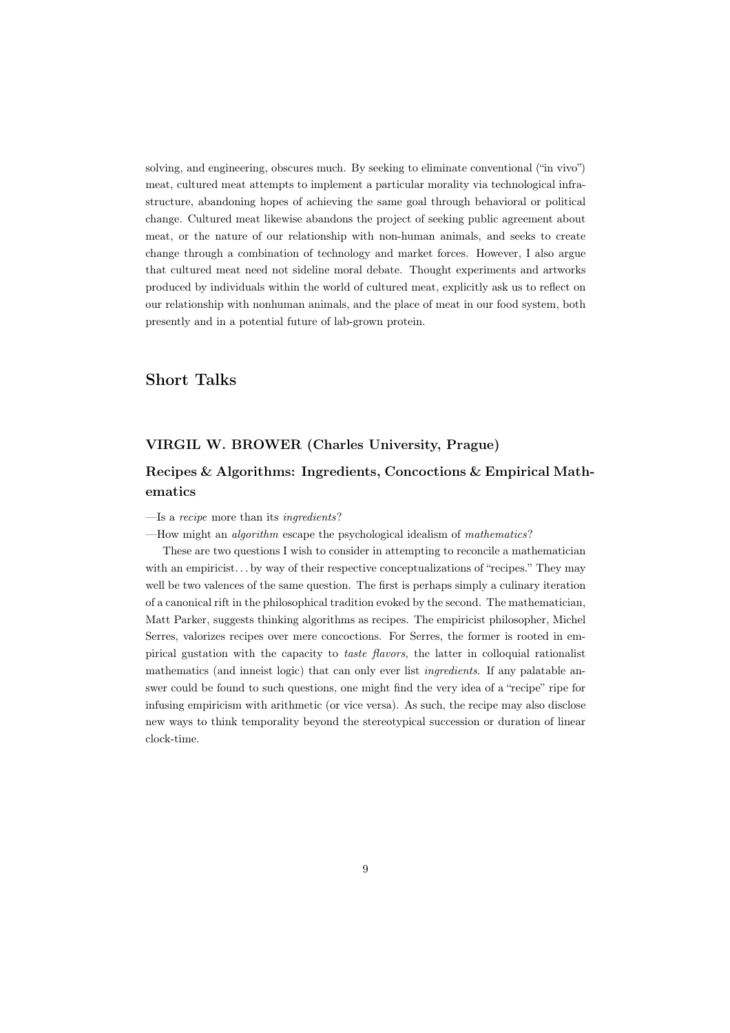solving, and engineering, obscures much. By seeking to eliminate conventional ("in vivo") meat, cultured meat attempts to implement a particular morality via technological infrastructure, abandoning hopes of achieving the same goal through behavioral or political change. Cultured meat likewise abandons the project of seeking public agreement about meat, or the nature of our relationship with non-human animals, and seeks to create change through a combination of technology and market forces. However, I also argue that cultured meat need not sideline moral debate. Thought experiments and artworks produced by individuals within the world of cultured meat, explicitly ask us to reflect on our relationship with nonhuman animals, and the place of meat in our food system, both presently and in a potential future of lab-grown protein.

# Short Talks

# VIRGIL W. BROWER (Charles University, Prague)

# Recipes & Algorithms: Ingredients, Concoctions & Empirical Mathematics

#### —Is a *recipe* more than its *ingredients*?

—How might an *algorithm* escape the psychological idealism of *mathematics*?

These are two questions I wish to consider in attempting to reconcile a mathematician with an empiricist... by way of their respective conceptualizations of "recipes." They may well be two valences of the same question. The first is perhaps simply a culinary iteration of a canonical rift in the philosophical tradition evoked by the second. The mathematician, Matt Parker, suggests thinking algorithms as recipes. The empiricist philosopher, Michel Serres, valorizes recipes over mere concoctions. For Serres, the former is rooted in empirical gustation with the capacity to *taste flavors*, the latter in colloquial rationalist mathematics (and inneist logic) that can only ever list *ingredients*. If any palatable answer could be found to such questions, one might find the very idea of a "recipe" ripe for infusing empiricism with arithmetic (or vice versa). As such, the recipe may also disclose new ways to think temporality beyond the stereotypical succession or duration of linear clock-time.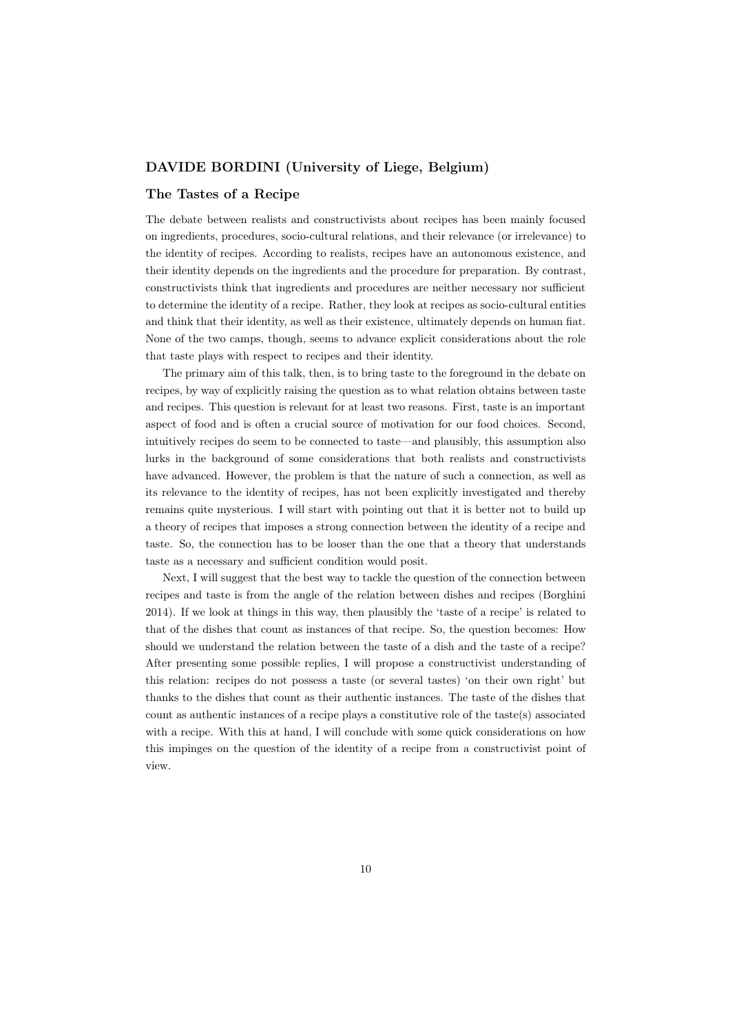# DAVIDE BORDINI (University of Liege, Belgium)

# The Tastes of a Recipe

The debate between realists and constructivists about recipes has been mainly focused on ingredients, procedures, socio-cultural relations, and their relevance (or irrelevance) to the identity of recipes. According to realists, recipes have an autonomous existence, and their identity depends on the ingredients and the procedure for preparation. By contrast, constructivists think that ingredients and procedures are neither necessary nor sufficient to determine the identity of a recipe. Rather, they look at recipes as socio-cultural entities and think that their identity, as well as their existence, ultimately depends on human fiat. None of the two camps, though, seems to advance explicit considerations about the role that taste plays with respect to recipes and their identity.

The primary aim of this talk, then, is to bring taste to the foreground in the debate on recipes, by way of explicitly raising the question as to what relation obtains between taste and recipes. This question is relevant for at least two reasons. First, taste is an important aspect of food and is often a crucial source of motivation for our food choices. Second, intuitively recipes do seem to be connected to taste—and plausibly, this assumption also lurks in the background of some considerations that both realists and constructivists have advanced. However, the problem is that the nature of such a connection, as well as its relevance to the identity of recipes, has not been explicitly investigated and thereby remains quite mysterious. I will start with pointing out that it is better not to build up a theory of recipes that imposes a strong connection between the identity of a recipe and taste. So, the connection has to be looser than the one that a theory that understands taste as a necessary and sufficient condition would posit.

Next, I will suggest that the best way to tackle the question of the connection between recipes and taste is from the angle of the relation between dishes and recipes (Borghini 2014). If we look at things in this way, then plausibly the 'taste of a recipe' is related to that of the dishes that count as instances of that recipe. So, the question becomes: How should we understand the relation between the taste of a dish and the taste of a recipe? After presenting some possible replies, I will propose a constructivist understanding of this relation: recipes do not possess a taste (or several tastes) 'on their own right' but thanks to the dishes that count as their authentic instances. The taste of the dishes that count as authentic instances of a recipe plays a constitutive role of the taste(s) associated with a recipe. With this at hand, I will conclude with some quick considerations on how this impinges on the question of the identity of a recipe from a constructivist point of view.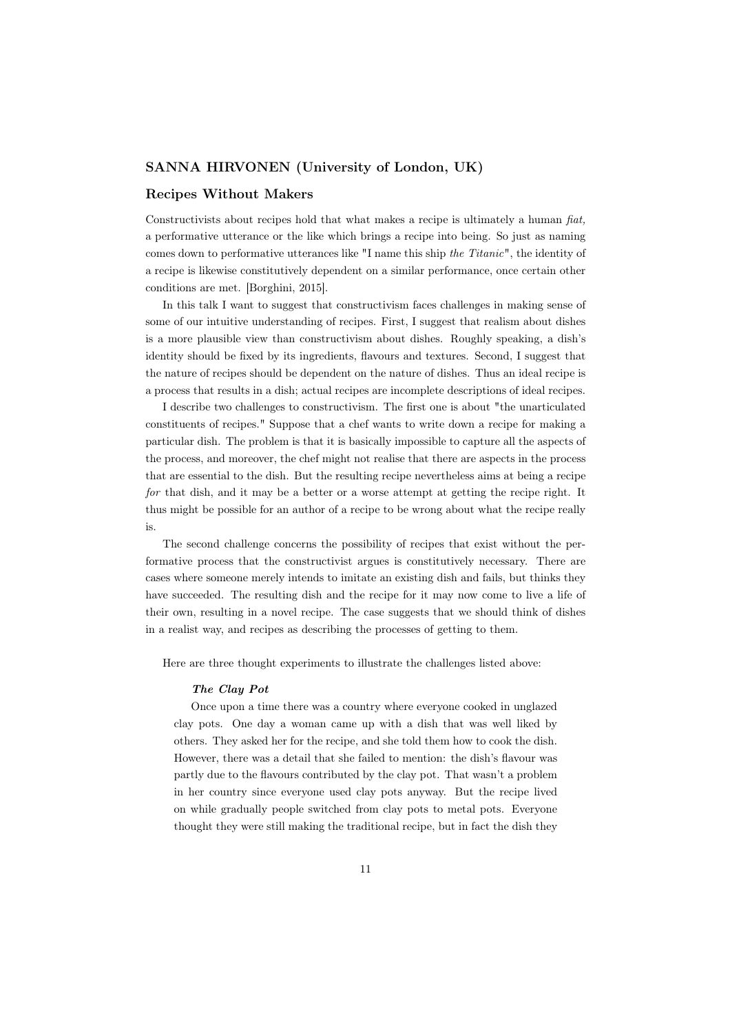### SANNA HIRVONEN (University of London, UK)

### Recipes Without Makers

Constructivists about recipes hold that what makes a recipe is ultimately a human *fiat,* a performative utterance or the like which brings a recipe into being. So just as naming comes down to performative utterances like "I name this ship *the Titanic*", the identity of a recipe is likewise constitutively dependent on a similar performance, once certain other conditions are met. [Borghini, 2015].

In this talk I want to suggest that constructivism faces challenges in making sense of some of our intuitive understanding of recipes. First, I suggest that realism about dishes is a more plausible view than constructivism about dishes. Roughly speaking, a dish's identity should be fixed by its ingredients, flavours and textures. Second, I suggest that the nature of recipes should be dependent on the nature of dishes. Thus an ideal recipe is a process that results in a dish; actual recipes are incomplete descriptions of ideal recipes.

I describe two challenges to constructivism. The first one is about "the unarticulated constituents of recipes." Suppose that a chef wants to write down a recipe for making a particular dish. The problem is that it is basically impossible to capture all the aspects of the process, and moreover, the chef might not realise that there are aspects in the process that are essential to the dish. But the resulting recipe nevertheless aims at being a recipe *for* that dish, and it may be a better or a worse attempt at getting the recipe right. It thus might be possible for an author of a recipe to be wrong about what the recipe really is.

The second challenge concerns the possibility of recipes that exist without the performative process that the constructivist argues is constitutively necessary. There are cases where someone merely intends to imitate an existing dish and fails, but thinks they have succeeded. The resulting dish and the recipe for it may now come to live a life of their own, resulting in a novel recipe. The case suggests that we should think of dishes in a realist way, and recipes as describing the processes of getting to them.

Here are three thought experiments to illustrate the challenges listed above:

#### *The Clay Pot*

Once upon a time there was a country where everyone cooked in unglazed clay pots. One day a woman came up with a dish that was well liked by others. They asked her for the recipe, and she told them how to cook the dish. However, there was a detail that she failed to mention: the dish's flavour was partly due to the flavours contributed by the clay pot. That wasn't a problem in her country since everyone used clay pots anyway. But the recipe lived on while gradually people switched from clay pots to metal pots. Everyone thought they were still making the traditional recipe, but in fact the dish they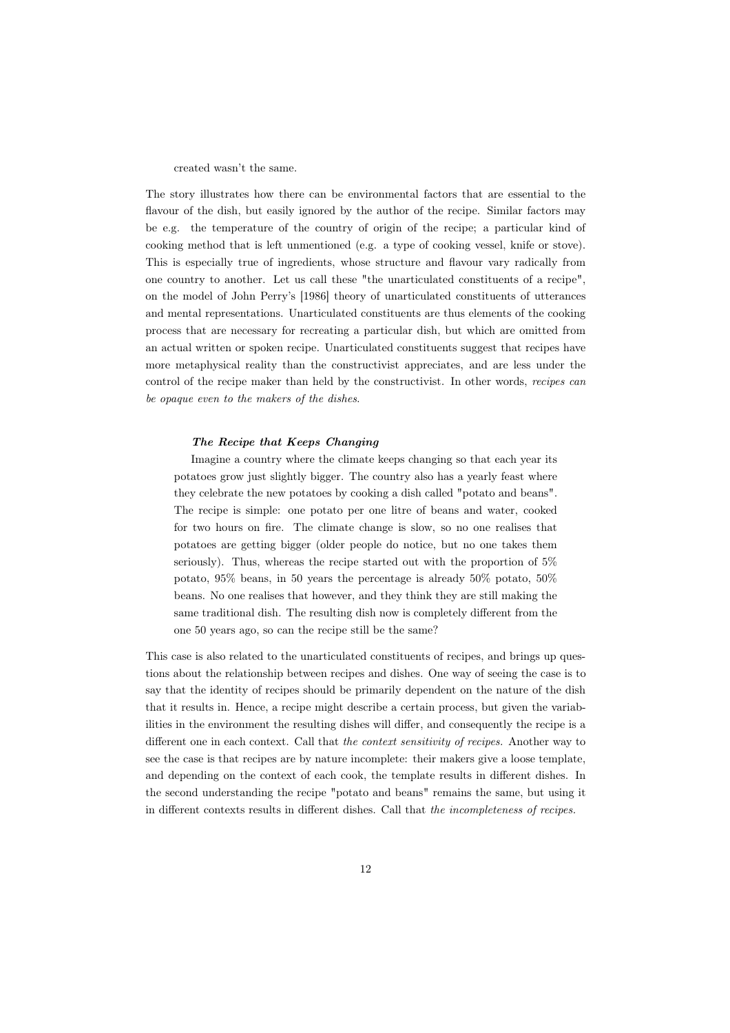created wasn't the same.

The story illustrates how there can be environmental factors that are essential to the flavour of the dish, but easily ignored by the author of the recipe. Similar factors may be e.g. the temperature of the country of origin of the recipe; a particular kind of cooking method that is left unmentioned (e.g. a type of cooking vessel, knife or stove). This is especially true of ingredients, whose structure and flavour vary radically from one country to another. Let us call these "the unarticulated constituents of a recipe", on the model of John Perry's [1986] theory of unarticulated constituents of utterances and mental representations. Unarticulated constituents are thus elements of the cooking process that are necessary for recreating a particular dish, but which are omitted from an actual written or spoken recipe. Unarticulated constituents suggest that recipes have more metaphysical reality than the constructivist appreciates, and are less under the control of the recipe maker than held by the constructivist. In other words, *recipes can be opaque even to the makers of the dishes*.

#### *The Recipe that Keeps Changing*

Imagine a country where the climate keeps changing so that each year its potatoes grow just slightly bigger. The country also has a yearly feast where they celebrate the new potatoes by cooking a dish called "potato and beans". The recipe is simple: one potato per one litre of beans and water, cooked for two hours on fire. The climate change is slow, so no one realises that potatoes are getting bigger (older people do notice, but no one takes them seriously). Thus, whereas the recipe started out with the proportion of 5% potato, 95% beans, in 50 years the percentage is already 50% potato, 50% beans. No one realises that however, and they think they are still making the same traditional dish. The resulting dish now is completely different from the one 50 years ago, so can the recipe still be the same?

This case is also related to the unarticulated constituents of recipes, and brings up questions about the relationship between recipes and dishes. One way of seeing the case is to say that the identity of recipes should be primarily dependent on the nature of the dish that it results in. Hence, a recipe might describe a certain process, but given the variabilities in the environment the resulting dishes will differ, and consequently the recipe is a different one in each context. Call that *the context sensitivity of recipes.* Another way to see the case is that recipes are by nature incomplete: their makers give a loose template, and depending on the context of each cook, the template results in different dishes. In the second understanding the recipe "potato and beans" remains the same, but using it in different contexts results in different dishes. Call that *the incompleteness of recipes.*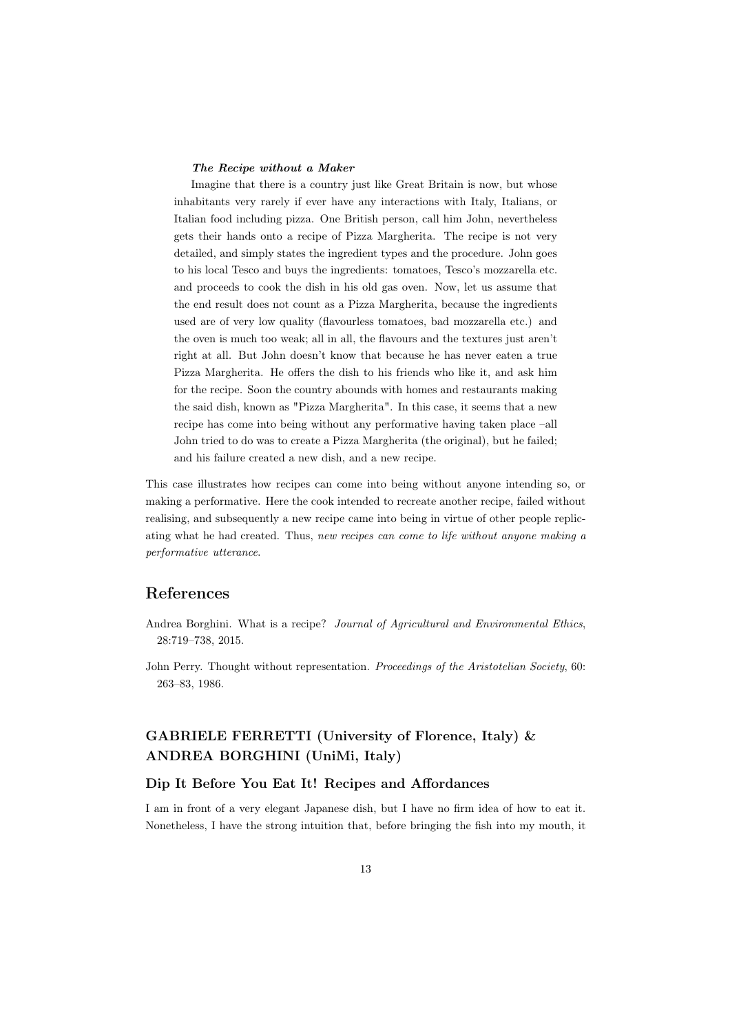#### *The Recipe without a Maker*

Imagine that there is a country just like Great Britain is now, but whose inhabitants very rarely if ever have any interactions with Italy, Italians, or Italian food including pizza. One British person, call him John, nevertheless gets their hands onto a recipe of Pizza Margherita. The recipe is not very detailed, and simply states the ingredient types and the procedure. John goes to his local Tesco and buys the ingredients: tomatoes, Tesco's mozzarella etc. and proceeds to cook the dish in his old gas oven. Now, let us assume that the end result does not count as a Pizza Margherita, because the ingredients used are of very low quality (flavourless tomatoes, bad mozzarella etc.) and the oven is much too weak; all in all, the flavours and the textures just aren't right at all. But John doesn't know that because he has never eaten a true Pizza Margherita. He offers the dish to his friends who like it, and ask him for the recipe. Soon the country abounds with homes and restaurants making the said dish, known as "Pizza Margherita". In this case, it seems that a new recipe has come into being without any performative having taken place –all John tried to do was to create a Pizza Margherita (the original), but he failed; and his failure created a new dish, and a new recipe.

This case illustrates how recipes can come into being without anyone intending so, or making a performative. Here the cook intended to recreate another recipe, failed without realising, and subsequently a new recipe came into being in virtue of other people replicating what he had created. Thus, *new recipes can come to life without anyone making a performative utterance*.

# References

- Andrea Borghini. What is a recipe? *Journal of Agricultural and Environmental Ethics*, 28:719–738, 2015.
- John Perry. Thought without representation. *Proceedings of the Aristotelian Society*, 60: 263–83, 1986.

# GABRIELE FERRETTI (University of Florence, Italy) & ANDREA BORGHINI (UniMi, Italy)

## Dip It Before You Eat It! Recipes and Affordances

I am in front of a very elegant Japanese dish, but I have no firm idea of how to eat it. Nonetheless, I have the strong intuition that, before bringing the fish into my mouth, it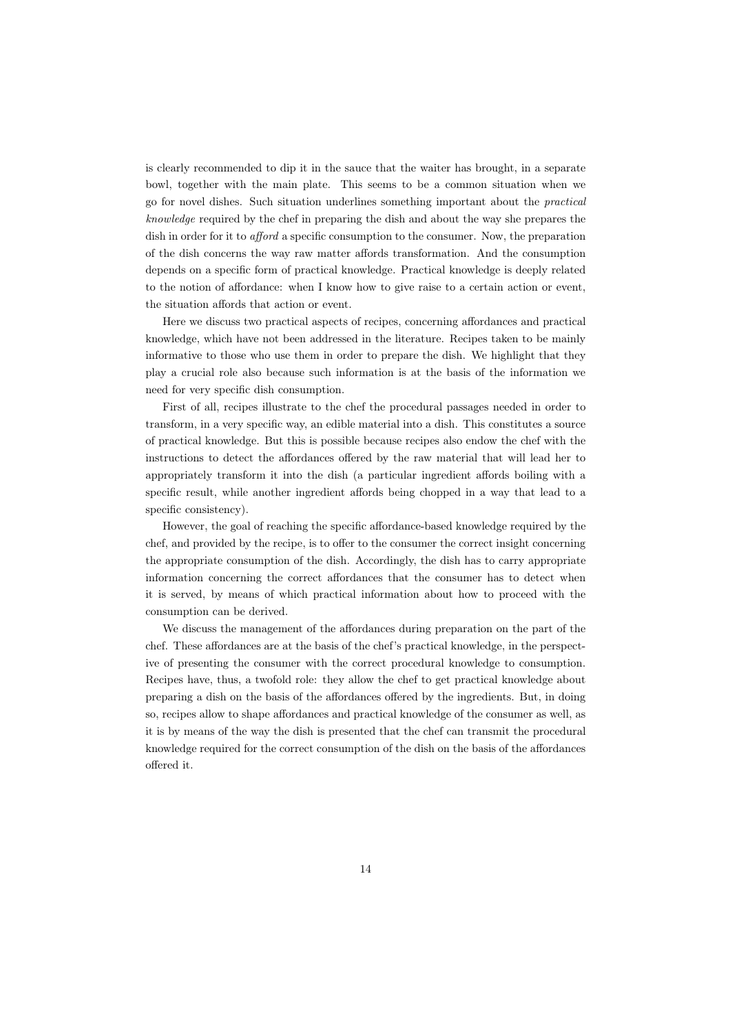is clearly recommended to dip it in the sauce that the waiter has brought, in a separate bowl, together with the main plate. This seems to be a common situation when we go for novel dishes. Such situation underlines something important about the *practical knowledge* required by the chef in preparing the dish and about the way she prepares the dish in order for it to *a*ff*ord* a specific consumption to the consumer. Now, the preparation of the dish concerns the way raw matter affords transformation. And the consumption depends on a specific form of practical knowledge. Practical knowledge is deeply related to the notion of affordance: when I know how to give raise to a certain action or event, the situation affords that action or event.

Here we discuss two practical aspects of recipes, concerning affordances and practical knowledge, which have not been addressed in the literature. Recipes taken to be mainly informative to those who use them in order to prepare the dish. We highlight that they play a crucial role also because such information is at the basis of the information we need for very specific dish consumption.

First of all, recipes illustrate to the chef the procedural passages needed in order to transform, in a very specific way, an edible material into a dish. This constitutes a source of practical knowledge. But this is possible because recipes also endow the chef with the instructions to detect the affordances offered by the raw material that will lead her to appropriately transform it into the dish (a particular ingredient affords boiling with a specific result, while another ingredient affords being chopped in a way that lead to a specific consistency).

However, the goal of reaching the specific affordance-based knowledge required by the chef, and provided by the recipe, is to offer to the consumer the correct insight concerning the appropriate consumption of the dish. Accordingly, the dish has to carry appropriate information concerning the correct affordances that the consumer has to detect when it is served, by means of which practical information about how to proceed with the consumption can be derived.

We discuss the management of the affordances during preparation on the part of the chef. These affordances are at the basis of the chef's practical knowledge, in the perspective of presenting the consumer with the correct procedural knowledge to consumption. Recipes have, thus, a twofold role: they allow the chef to get practical knowledge about preparing a dish on the basis of the affordances offered by the ingredients. But, in doing so, recipes allow to shape affordances and practical knowledge of the consumer as well, as it is by means of the way the dish is presented that the chef can transmit the procedural knowledge required for the correct consumption of the dish on the basis of the affordances offered it.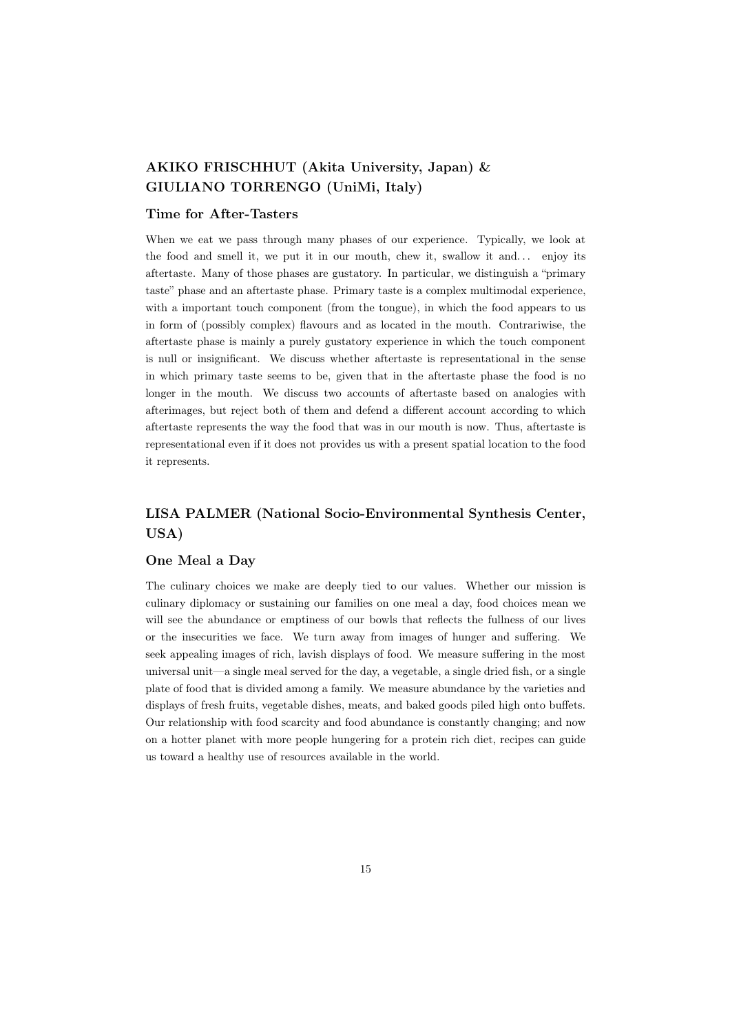# AKIKO FRISCHHUT (Akita University, Japan) & GIULIANO TORRENGO (UniMi, Italy)

# Time for After-Tasters

When we eat we pass through many phases of our experience. Typically, we look at the food and smell it, we put it in our mouth, chew it, swallow it and... enjoy its aftertaste. Many of those phases are gustatory. In particular, we distinguish a "primary taste" phase and an aftertaste phase. Primary taste is a complex multimodal experience, with a important touch component (from the tongue), in which the food appears to us in form of (possibly complex) flavours and as located in the mouth. Contrariwise, the aftertaste phase is mainly a purely gustatory experience in which the touch component is null or insignificant. We discuss whether aftertaste is representational in the sense in which primary taste seems to be, given that in the aftertaste phase the food is no longer in the mouth. We discuss two accounts of aftertaste based on analogies with afterimages, but reject both of them and defend a different account according to which aftertaste represents the way the food that was in our mouth is now. Thus, aftertaste is representational even if it does not provides us with a present spatial location to the food it represents.

# LISA PALMER (National Socio-Environmental Synthesis Center, USA)

# One Meal a Day

The culinary choices we make are deeply tied to our values. Whether our mission is culinary diplomacy or sustaining our families on one meal a day, food choices mean we will see the abundance or emptiness of our bowls that reflects the fullness of our lives or the insecurities we face. We turn away from images of hunger and suffering. We seek appealing images of rich, lavish displays of food. We measure suffering in the most universal unit—a single meal served for the day, a vegetable, a single dried fish, or a single plate of food that is divided among a family. We measure abundance by the varieties and displays of fresh fruits, vegetable dishes, meats, and baked goods piled high onto buffets. Our relationship with food scarcity and food abundance is constantly changing; and now on a hotter planet with more people hungering for a protein rich diet, recipes can guide us toward a healthy use of resources available in the world.